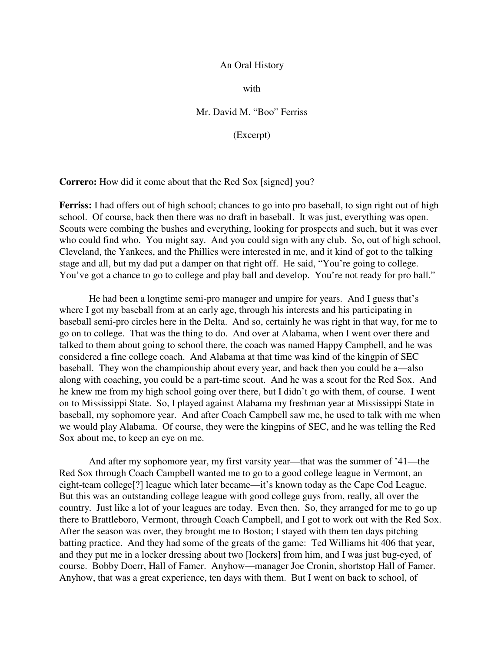## An Oral History

with

## Mr. David M. "Boo" Ferriss

(Excerpt)

**Correro:** How did it come about that the Red Sox [signed] you?

**Ferriss:** I had offers out of high school; chances to go into pro baseball, to sign right out of high school. Of course, back then there was no draft in baseball. It was just, everything was open. Scouts were combing the bushes and everything, looking for prospects and such, but it was ever who could find who. You might say. And you could sign with any club. So, out of high school, Cleveland, the Yankees, and the Phillies were interested in me, and it kind of got to the talking stage and all, but my dad put a damper on that right off. He said, "You're going to college. You've got a chance to go to college and play ball and develop. You're not ready for pro ball."

He had been a longtime semi-pro manager and umpire for years. And I guess that's where I got my baseball from at an early age, through his interests and his participating in baseball semi-pro circles here in the Delta. And so, certainly he was right in that way, for me to go on to college. That was the thing to do. And over at Alabama, when I went over there and talked to them about going to school there, the coach was named Happy Campbell, and he was considered a fine college coach. And Alabama at that time was kind of the kingpin of SEC baseball. They won the championship about every year, and back then you could be a—also along with coaching, you could be a part-time scout. And he was a scout for the Red Sox. And he knew me from my high school going over there, but I didn't go with them, of course. I went on to Mississippi State. So, I played against Alabama my freshman year at Mississippi State in baseball, my sophomore year. And after Coach Campbell saw me, he used to talk with me when we would play Alabama. Of course, they were the kingpins of SEC, and he was telling the Red Sox about me, to keep an eye on me.

And after my sophomore year, my first varsity year—that was the summer of '41—the Red Sox through Coach Campbell wanted me to go to a good college league in Vermont, an eight-team college[?] league which later became—it's known today as the Cape Cod League. But this was an outstanding college league with good college guys from, really, all over the country. Just like a lot of your leagues are today. Even then. So, they arranged for me to go up there to Brattleboro, Vermont, through Coach Campbell, and I got to work out with the Red Sox. After the season was over, they brought me to Boston; I stayed with them ten days pitching batting practice. And they had some of the greats of the game: Ted Williams hit 406 that year, and they put me in a locker dressing about two [lockers] from him, and I was just bug-eyed, of course. Bobby Doerr, Hall of Famer. Anyhow—manager Joe Cronin, shortstop Hall of Famer. Anyhow, that was a great experience, ten days with them. But I went on back to school, of